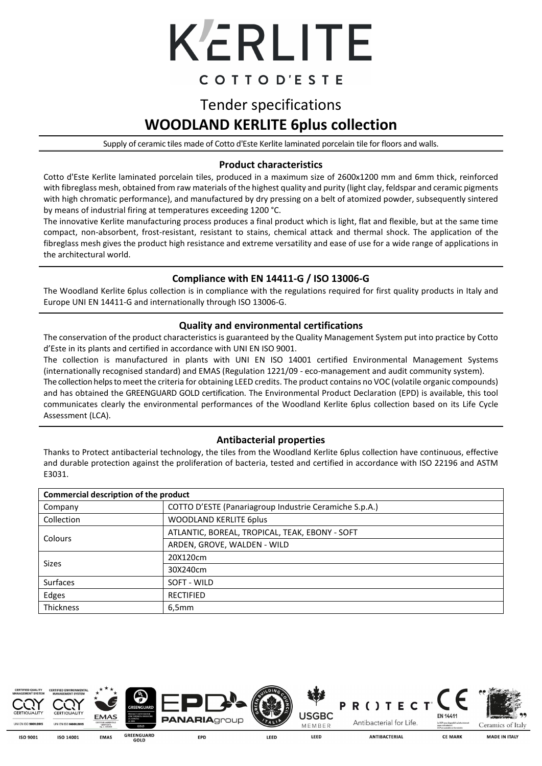

### COTTOD'ESTE

## Tender specifications **WOODLAND KERLITE 6plus collection**

Supply of ceramic tiles made of Cotto d'Este Kerlite laminated porcelain tile for floors and walls.

#### **Product characteristics**

Cotto d'Este Kerlite laminated porcelain tiles, produced in a maximum size of 2600x1200 mm and 6mm thick, reinforced with fibreglass mesh, obtained from raw materials of the highest quality and purity (light clay, feldspar and ceramic pigments with high chromatic performance), and manufactured by dry pressing on a belt of atomized powder, subsequently sintered by means of industrial firing at temperatures exceeding 1200 °C.

The innovative Kerlite manufacturing process produces a final product which is light, flat and flexible, but at the same time compact, non-absorbent, frost-resistant, resistant to stains, chemical attack and thermal shock. The application of the fibreglass mesh gives the product high resistance and extreme versatility and ease of use for a wide range of applications in the architectural world.

#### **Compliance with EN 14411-G / ISO 13006-G**

The Woodland Kerlite 6plus collection is in compliance with the regulations required for first quality products in Italy and Europe UNI EN 14411-G and internationally through ISO 13006-G.

#### **Quality and environmental certifications**

The conservation of the product characteristics is guaranteed by the Quality Management System put into practice by Cotto d'Este in its plants and certified in accordance with UNI EN ISO 9001.

The collection is manufactured in plants with UNI EN ISO 14001 certified Environmental Management Systems (internationally recognised standard) and EMAS (Regulation 1221/09 - eco-management and audit community system).

The collection helps to meet the criteria for obtaining LEED credits. The product contains no VOC (volatile organic compounds) and has obtained the GREENGUARD GOLD certification. The Environmental Product Declaration (EPD) is available, this tool communicates clearly the environmental performances of the Woodland Kerlite 6plus collection based on its Life Cycle Assessment (LCA).

#### **Antibacterial properties**

Thanks to Protect antibacterial technology, the tiles from the Woodland Kerlite 6plus collection have continuous, effective and durable protection against the proliferation of bacteria, tested and certified in accordance with ISO 22196 and ASTM E3031.

| Commercial description of the product |                                                        |  |  |  |
|---------------------------------------|--------------------------------------------------------|--|--|--|
| Company                               | COTTO D'ESTE (Panariagroup Industrie Ceramiche S.p.A.) |  |  |  |
| Collection                            | <b>WOODLAND KERLITE 6plus</b>                          |  |  |  |
|                                       | ATLANTIC, BOREAL, TROPICAL, TEAK, EBONY - SOFT         |  |  |  |
| Colours                               | ARDEN, GROVE, WALDEN - WILD                            |  |  |  |
|                                       | 20X120cm                                               |  |  |  |
| Sizes                                 | 30X240cm                                               |  |  |  |
| <b>Surfaces</b>                       | SOFT - WILD                                            |  |  |  |
| Edges                                 | <b>RECTIFIED</b>                                       |  |  |  |
| Thickness                             | 6.5mm                                                  |  |  |  |